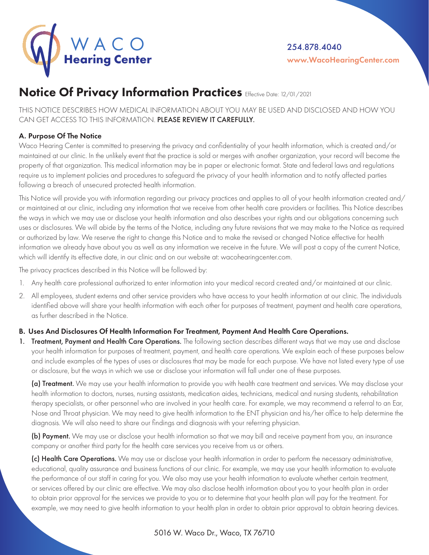

# Notice Of Privacy Information Practices Effective Date: 12/01/2021

THIS NOTICE DESCRIBES HOW MEDICAL INFORMATION ABOUT YOU MAY BE USED AND DISCLOSED AND HOW YOU CAN GET ACCESS TO THIS INFORMATION. PLEASE REVIEW IT CAREFULLY.

## A. Purpose Of The Notice

Waco Hearing Center is committed to preserving the privacy and confidentiality of your health information, which is created and/or maintained at our clinic. In the unlikely event that the practice is sold or merges with another organization, your record will become the property of that organization. This medical information may be in paper or electronic format. State and federal laws and regulations require us to implement policies and procedures to safeguard the privacy of your health information and to notify affected parties following a breach of unsecured protected health information.

This Notice will provide you with information regarding our privacy practices and applies to all of your health information created and/ or maintained at our clinic, including any information that we receive from other health care providers or facilities. This Notice describes the ways in which we may use or disclose your health information and also describes your rights and our obligations concerning such uses or disclosures. We will abide by the terms of the Notice, including any future revisions that we may make to the Notice as required or authorized by law. We reserve the right to change this Notice and to make the revised or changed Notice effective for health information we already have about you as well as any information we receive in the future. We will post a copy of the current Notice, which will identify its effective date, in our clinic and on our website at: wacohearingcenter.com.

The privacy practices described in this Notice will be followed by:

- 1. Any health care professional authorized to enter information into your medical record created and/or maintained at our clinic.
- 2. All employees, student externs and other service providers who have access to your health information at our clinic. The individuals identified above will share your health information with each other for purposes of treatment, payment and health care operations, as further described in the Notice.

### B. Uses And Disclosures Of Health Information For Treatment, Payment And Health Care Operations.

1. Treatment, Payment and Health Care Operations. The following section describes different ways that we may use and disclose your health information for purposes of treatment, payment, and health care operations. We explain each of these purposes below and include examples of the types of uses or disclosures that may be made for each purpose. We have not listed every type of use or disclosure, but the ways in which we use or disclose your information will fall under one of these purposes.

(a) Treatment. We may use your health information to provide you with health care treatment and services. We may disclose your health information to doctors, nurses, nursing assistants, medication aides, technicians, medical and nursing students, rehabilitation therapy specialists, or other personnel who are involved in your health care. For example, we may recommend a referral to an Ear, Nose and Throat physician. We may need to give health information to the ENT physician and his/her office to help determine the diagnosis. We will also need to share our findings and diagnosis with your referring physician.

(b) Payment. We may use or disclose your health information so that we may bill and receive payment from you, an insurance company or another third party for the health care services you receive from us or others.

(c) Health Care Operations. We may use or disclose your health information in order to perform the necessary administrative, educational, quality assurance and business functions of our clinic. For example, we may use your health information to evaluate the performance of our staff in caring for you. We also may use your health information to evaluate whether certain treatment, or services offered by our clinic are effective. We may also disclose health information about you to your health plan in order to obtain prior approval for the services we provide to you or to determine that your health plan will pay for the treatment. For example, we may need to give health information to your health plan in order to obtain prior approval to obtain hearing devices.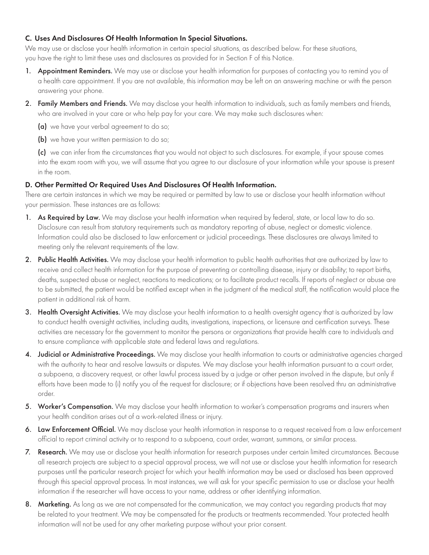### C. Uses And Disclosures Of Health Information In Special Situations.

We may use or disclose your health information in certain special situations, as described below. For these situations, you have the right to limit these uses and disclosures as provided for in Section F of this Notice.

- 1. Appointment Reminders. We may use or disclose your health information for purposes of contacting you to remind you of a health care appointment. If you are not available, this information may be left on an answering machine or with the person answering your phone.
- 2. Family Members and Friends. We may disclose your health information to individuals, such as family members and friends, who are involved in your care or who help pay for your care. We may make such disclosures when:
	- (a) we have your verbal agreement to do so;
	- (b) we have your written permission to do so;

(c) we can infer from the circumstances that you would not object to such disclosures. For example, if your spouse comes into the exam room with you, we will assume that you agree to our disclosure of your information while your spouse is present in the room.

## D. Other Permitted Or Required Uses And Disclosures Of Health Information.

There are certain instances in which we may be required or permitted by law to use or disclose your health information without your permission. These instances are as follows:

- 1. As Required by Law. We may disclose your health information when required by federal, state, or local law to do so. Disclosure can result from statutory requirements such as mandatory reporting of abuse, neglect or domestic violence. Information could also be disclosed to law enforcement or judicial proceedings. These disclosures are always limited to meeting only the relevant requirements of the law.
- 2. Public Health Activities. We may disclose your health information to public health authorities that are authorized by law to receive and collect health information for the purpose of preventing or controlling disease, injury or disability; to report births, deaths, suspected abuse or neglect, reactions to medications; or to facilitate product recalls. If reports of neglect or abuse are to be submitted, the patient would be notified except when in the judgment of the medical staff, the notification would place the patient in additional risk of harm.
- 3. Health Oversight Activities. We may disclose your health information to a health oversight agency that is authorized by law to conduct health oversight activities, including audits, investigations, inspections, or licensure and certification surveys. These activities are necessary for the government to monitor the persons or organizations that provide health care to individuals and to ensure compliance with applicable state and federal laws and regulations.
- 4. Judicial or Administrative Proceedings. We may disclose your health information to courts or administrative agencies charged with the authority to hear and resolve lawsuits or disputes. We may disclose your health information pursuant to a court order, a subpoena, a discovery request, or other lawful process issued by a judge or other person involved in the dispute, but only if efforts have been made to (i) notify you of the request for disclosure; or if objections have been resolved thru an administrative order.
- 5. Worker's Compensation. We may disclose your health information to worker's compensation programs and insurers when your health condition arises out of a work-related illness or injury.
- 6. Law Enforcement Official. We may disclose your health information in response to a request received from a law enforcement official to report criminal activity or to respond to a subpoena, court order, warrant, summons, or similar process.
- 7. Research. We may use or disclose your health information for research purposes under certain limited circumstances. Because all research projects are subject to a special approval process, we will not use or disclose your health information for research purposes until the particular research project for which your health information may be used or disclosed has been approved through this special approval process. In most instances, we will ask for your specific permission to use or disclose your health information if the researcher will have access to your name, address or other identifying information.
- 8. Marketing. As long as we are not compensated for the communication, we may contact you regarding products that may be related to your treatment. We may be compensated for the products or treatments recommended. Your protected health information will not be used for any other marketing purpose without your prior consent.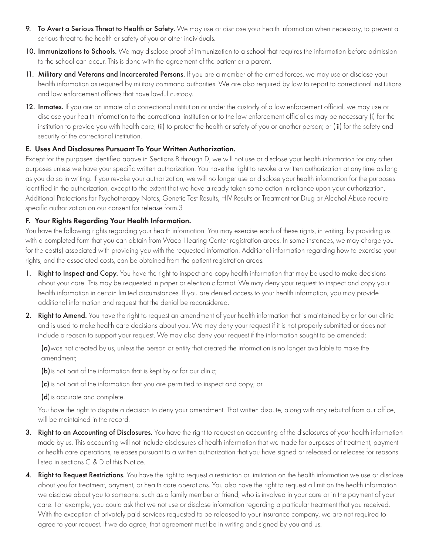- 9. To Avert a Serious Threat to Health or Safety. We may use or disclose your health information when necessary, to prevent a serious threat to the health or safety of you or other individuals.
- 10. Immunizations to Schools. We may disclose proof of immunization to a school that requires the information before admission to the school can occur. This is done with the agreement of the patient or a parent.
- 11. Military and Veterans and Incarcerated Persons. If you are a member of the armed forces, we may use or disclose your health information as required by military command authorities. We are also required by law to report to correctional institutions and law enforcement officers that have lawful custody.
- 12. Inmates. If you are an inmate of a correctional institution or under the custody of a law enforcement official, we may use or disclose your health information to the correctional institution or to the law enforcement official as may be necessary (i) for the institution to provide you with health care; (ii) to protect the health or safety of you or another person; or (iii) for the safety and security of the correctional institution.

### E. Uses And Disclosures Pursuant To Your Written Authorization.

Except for the purposes identified above in Sections B through D, we will not use or disclose your health information for any other purposes unless we have your specific written authorization. You have the right to revoke a written authorization at any time as long as you do so in writing. If you revoke your authorization, we will no longer use or disclose your health information for the purposes identified in the authorization, except to the extent that we have already taken some action in reliance upon your authorization. Additional Protections for Psychotherapy Notes, Genetic Test Results, HIV Results or Treatment for Drug or Alcohol Abuse require specific authorization on our consent for release form.3

### F. Your Rights Regarding Your Health Information.

You have the following rights regarding your health information. You may exercise each of these rights, in writing, by providing us with a completed form that you can obtain from Waco Hearing Center registration areas. In some instances, we may charge you for the cost(s) associated with providing you with the requested information. Additional information regarding how to exercise your rights, and the associated costs, can be obtained from the patient registration areas.

- 1. Right to Inspect and Copy. You have the right to inspect and copy health information that may be used to make decisions about your care. This may be requested in paper or electronic format. We may deny your request to inspect and copy your health information in certain limited circumstances. If you are denied access to your health information, you may provide additional information and request that the denial be reconsidered.
- 2. Right to Amend. You have the right to request an amendment of your health information that is maintained by or for our clinic and is used to make health care decisions about you. We may deny your request if it is not properly submitted or does not include a reason to support your request. We may also deny your request if the information sought to be amended:

(a)was not created by us, unless the person or entity that created the information is no longer available to make the amendment;

(b) is not part of the information that is kept by or for our clinic;

(c) is not part of the information that you are permitted to inspect and copy; or

(d) is accurate and complete.

You have the right to dispute a decision to deny your amendment. That written dispute, along with any rebuttal from our office, will be maintained in the record.

- 3. Right to an Accounting of Disclosures. You have the right to request an accounting of the disclosures of your health information made by us. This accounting will not include disclosures of health information that we made for purposes of treatment, payment or health care operations, releases pursuant to a written authorization that you have signed or released or releases for reasons listed in sections C & D of this Notice.
- 4. Right to Request Restrictions. You have the right to request a restriction or limitation on the health information we use or disclose about you for treatment, payment, or health care operations. You also have the right to request a limit on the health information we disclose about you to someone, such as a family member or friend, who is involved in your care or in the payment of your care. For example, you could ask that we not use or disclose information regarding a particular treatment that you received. With the exception of privately paid services requested to be released to your insurance company, we are not required to agree to your request. If we do agree, that agreement must be in writing and signed by you and us.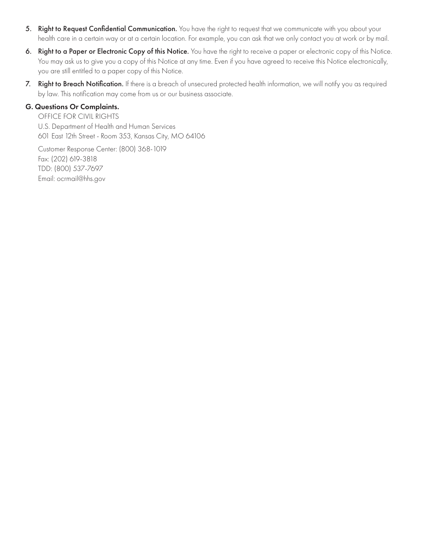- 5. Right to Request Confidential Communication. You have the right to request that we communicate with you about your health care in a certain way or at a certain location. For example, you can ask that we only contact you at work or by mail.
- 6. Right to a Paper or Electronic Copy of this Notice. You have the right to receive a paper or electronic copy of this Notice. You may ask us to give you a copy of this Notice at any time. Even if you have agreed to receive this Notice electronically, you are still entitled to a paper copy of this Notice.
- 7. Right to Breach Notification. If there is a breach of unsecured protected health information, we will notify you as required by law. This notification may come from us or our business associate.

#### G. Questions Or Complaints.

OFFICE FOR CIVIL RIGHTS U.S. Department of Health and Human Services 601 East 12th Street - Room 353, Kansas City, MO 64106

Customer Response Center: (800) 368-1019 Fax: (202) 619-3818 TDD: (800) 537-7697 Email: ocrmail@hhs.gov